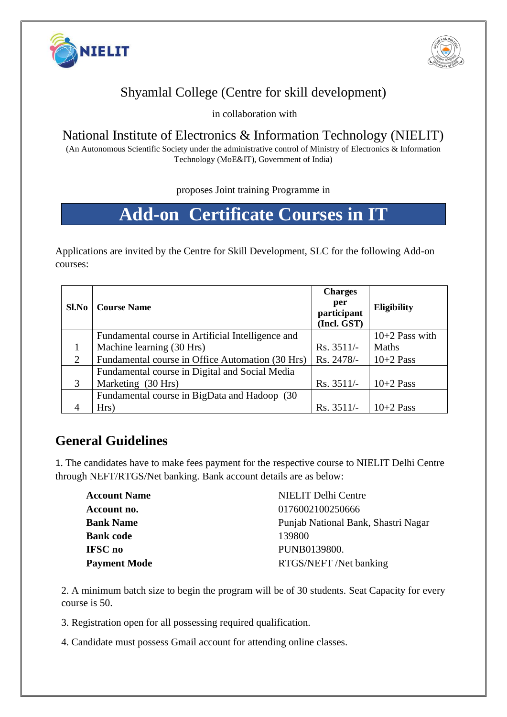



## Shyamlal College (Centre for skill development)

in collaboration with

#### National Institute of Electronics & Information Technology (NIELIT)

(An Autonomous Scientific Society under the administrative control of Ministry of Electronics & Information Technology (MoE&IT), Government of India)

proposes Joint training Programme in

# **Add-on Certificate Courses in IT**

Applications are invited by the Centre for Skill Development, SLC for the following Add-on courses:

| Sl.No | <b>Course Name</b>                                | <b>Charges</b><br>per<br>participant<br>(Incl. GST) | <b>Eligibility</b> |
|-------|---------------------------------------------------|-----------------------------------------------------|--------------------|
|       | Fundamental course in Artificial Intelligence and |                                                     | $10+2$ Pass with   |
|       | Machine learning (30 Hrs)                         | $Rs. 3511/-$                                        | Maths              |
| 2     | Fundamental course in Office Automation (30 Hrs)  | Rs. 2478/-                                          | $10+2$ Pass        |
|       | Fundamental course in Digital and Social Media    |                                                     |                    |
| 3     | Marketing (30 Hrs)                                | $Rs. 3511/-$                                        | $10+2$ Pass        |
|       | Fundamental course in BigData and Hadoop (30      |                                                     |                    |
|       | Hrs)                                              | Rs. 3511/-                                          | $10+2$ Pass        |

### **General Guidelines**

1. The candidates have to make fees payment for the respective course to NIELIT Delhi Centre through NEFT/RTGS/Net banking. Bank account details are as below:

| <b>Account Name</b> | NIELIT Delhi Centre                 |  |
|---------------------|-------------------------------------|--|
| Account no.         | 0176002100250666                    |  |
| <b>Bank Name</b>    | Punjab National Bank, Shastri Nagar |  |
| <b>Bank code</b>    | 139800                              |  |
| IFSC no             | PUNB0139800.                        |  |
| <b>Payment Mode</b> | RTGS/NEFT /Net banking              |  |

2. A minimum batch size to begin the program will be of 30 students. Seat Capacity for every course is 50.

3. Registration open for all possessing required qualification.

4. Candidate must possess Gmail account for attending online classes.